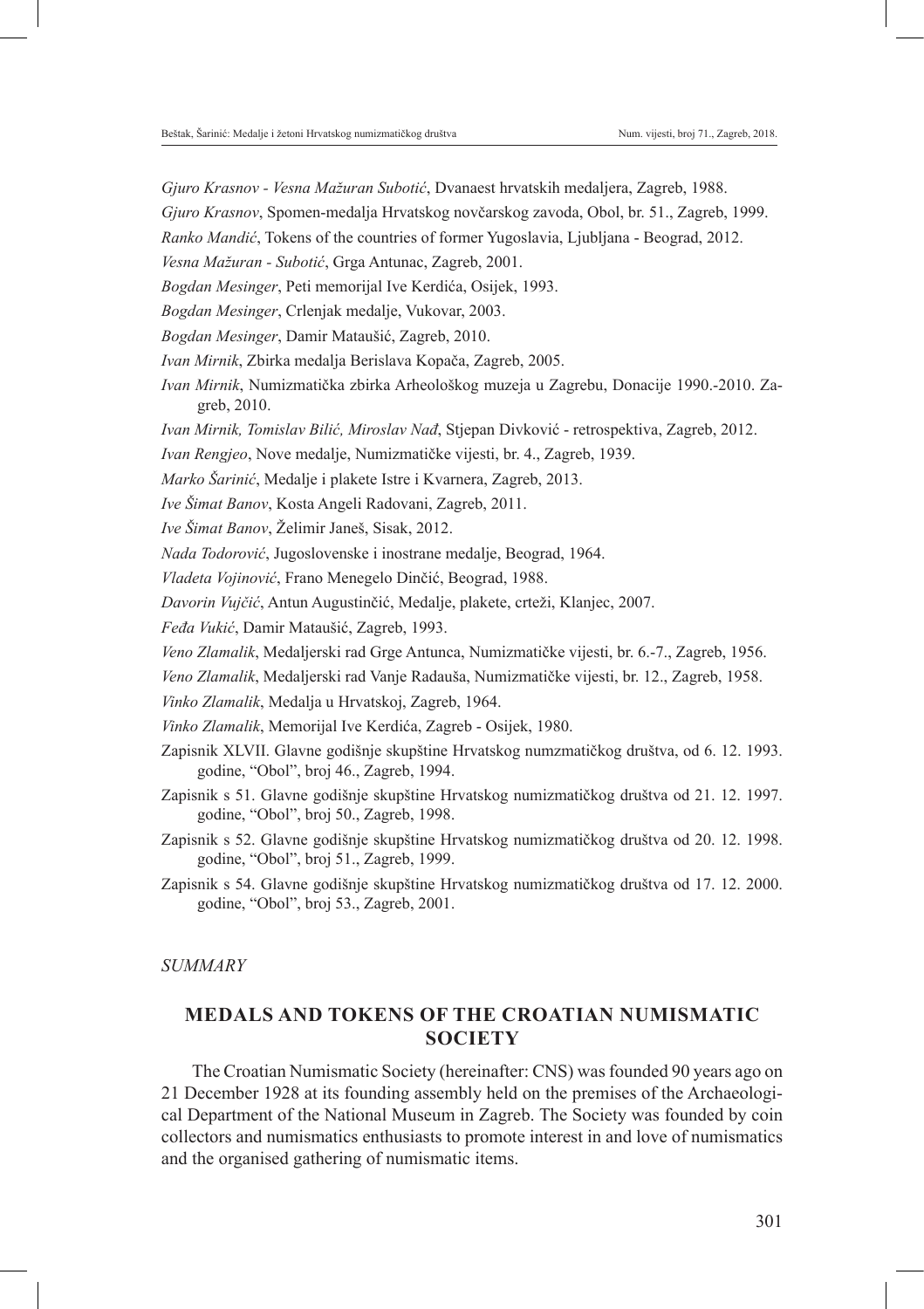*Gjuro Krasnov - Vesna Mažuran Subotić*, Dvanaest hrvatskih medaljera, Zagreb, 1988.

*Gjuro Krasnov*, Spomen-medalja Hrvatskog novčarskog zavoda, Obol, br. 51., Zagreb, 1999.

*Ranko Mandić*, Tokens of the countries of former Yugoslavia, Ljubljana - Beograd, 2012.

- *Vesna Mažuran Subotić*, Grga Antunac, Zagreb, 2001.
- *Bogdan Mesinger*, Peti memorijal Ive Kerdića, Osijek, 1993.
- *Bogdan Mesinger*, Crlenjak medalje, Vukovar, 2003.
- *Bogdan Mesinger*, Damir Mataušić, Zagreb, 2010.
- *Ivan Mirnik*, Zbirka medalja Berislava Kopača, Zagreb, 2005.
- *Ivan Mirnik*, Numizmatička zbirka Arheološkog muzeja u Zagrebu, Donacije 1990.-2010. Zagreb, 2010.
- *Ivan Mirnik, Tomislav Bilić, Miroslav Nađ*, Stjepan Divković retrospektiva, Zagreb, 2012.

*Ivan Rengjeo*, Nove medalje, Numizmatičke vijesti, br. 4., Zagreb, 1939.

*Marko Šarinić*, Medalje i plakete Istre i Kvarnera, Zagreb, 2013.

- *Ive Šimat Banov*, Kosta Angeli Radovani, Zagreb, 2011.
- *Ive Šimat Banov*, Želimir Janeš, Sisak, 2012.
- *Nada Todorović*, Jugoslovenske i inostrane medalje, Beograd, 1964.
- *Vladeta Vojinović*, Frano Menegelo Dinčić, Beograd, 1988.

*Davorin Vujčić*, Antun Augustinčić, Medalje, plakete, crteži, Klanjec, 2007.

- *Feđa Vukić*, Damir Mataušić, Zagreb, 1993.
- *Veno Zlamalik*, Medaljerski rad Grge Antunca, Numizmatičke vijesti, br. 6.-7., Zagreb, 1956.

*Veno Zlamalik*, Medaljerski rad Vanje Radauša, Numizmatičke vijesti, br. 12., Zagreb, 1958.

*Vinko Zlamalik*, Medalja u Hrvatskoj, Zagreb, 1964.

- *Vinko Zlamalik*, Memorijal Ive Kerdića, Zagreb Osijek, 1980.
- Zapisnik XLVII. Glavne godišnje skupštine Hrvatskog numzmatičkog društva, od 6. 12. 1993. godine, "Obol", broj 46., Zagreb, 1994.
- Zapisnik s 51. Glavne godišnje skupštine Hrvatskog numizmatičkog društva od 21. 12. 1997. godine, "Obol", broj 50., Zagreb, 1998.
- Zapisnik s 52. Glavne godišnje skupštine Hrvatskog numizmatičkog društva od 20. 12. 1998. godine, "Obol", broj 51., Zagreb, 1999.
- Zapisnik s 54. Glavne godišnje skupštine Hrvatskog numizmatičkog društva od 17. 12. 2000. godine, "Obol", broj 53., Zagreb, 2001.

## *SUMMARY*

## **MEDALS AND TOKENS OF THE CROATIAN NUMISMATIC SOCIETY**

The Croatian Numismatic Society (hereinafter: CNS) was founded 90 years ago on 21 December 1928 at its founding assembly held on the premises of the Archaeological Department of the National Museum in Zagreb. The Society was founded by coin collectors and numismatics enthusiasts to promote interest in and love of numismatics and the organised gathering of numismatic items.